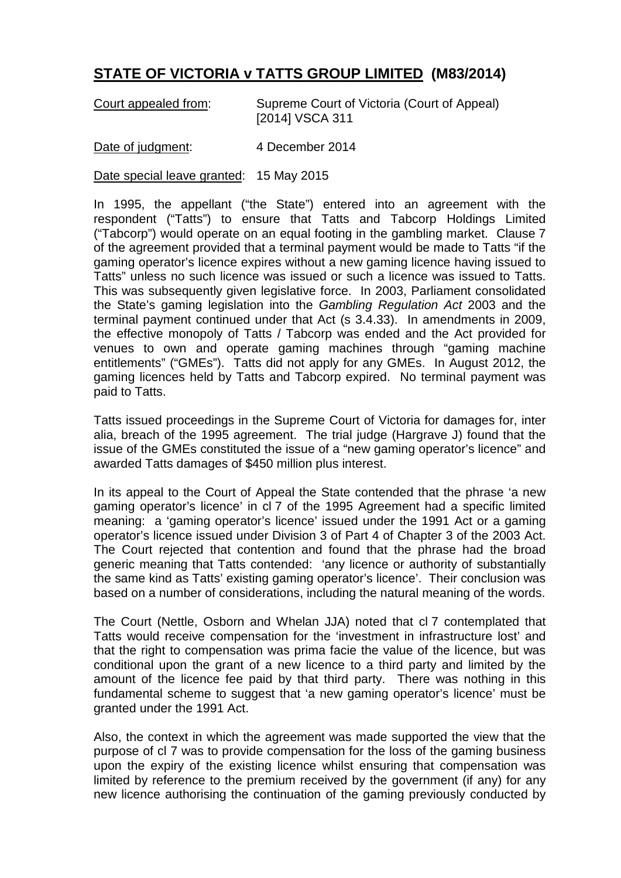## **STATE OF VICTORIA v TATTS GROUP LIMITED (M83/2014)**

| Court appealed from: | Supreme Court of Victoria (Court of Appeal) |
|----------------------|---------------------------------------------|
|                      | [2014] VSCA 311                             |

Date of judgment: 4 December 2014

Date special leave granted: 15 May 2015

In 1995, the appellant ("the State") entered into an agreement with the respondent ("Tatts") to ensure that Tatts and Tabcorp Holdings Limited ("Tabcorp") would operate on an equal footing in the gambling market. Clause 7 of the agreement provided that a terminal payment would be made to Tatts "if the gaming operator's licence expires without a new gaming licence having issued to Tatts" unless no such licence was issued or such a licence was issued to Tatts. This was subsequently given legislative force. In 2003, Parliament consolidated the State's gaming legislation into the *Gambling Regulation Act* 2003 and the terminal payment continued under that Act (s 3.4.33). In amendments in 2009, the effective monopoly of Tatts / Tabcorp was ended and the Act provided for venues to own and operate gaming machines through "gaming machine entitlements" ("GMEs"). Tatts did not apply for any GMEs. In August 2012, the gaming licences held by Tatts and Tabcorp expired. No terminal payment was paid to Tatts.

Tatts issued proceedings in the Supreme Court of Victoria for damages for, inter alia, breach of the 1995 agreement. The trial judge (Hargrave J) found that the issue of the GMEs constituted the issue of a "new gaming operator's licence" and awarded Tatts damages of \$450 million plus interest.

In its appeal to the Court of Appeal the State contended that the phrase 'a new gaming operator's licence' in cl 7 of the 1995 Agreement had a specific limited meaning: a 'gaming operator's licence' issued under the 1991 Act or a gaming operator's licence issued under Division 3 of Part 4 of Chapter 3 of the 2003 Act. The Court rejected that contention and found that the phrase had the broad generic meaning that Tatts contended: 'any licence or authority of substantially the same kind as Tatts' existing gaming operator's licence'. Their conclusion was based on a number of considerations, including the natural meaning of the words.

The Court (Nettle, Osborn and Whelan JJA) noted that cl 7 contemplated that Tatts would receive compensation for the 'investment in infrastructure lost' and that the right to compensation was prima facie the value of the licence, but was conditional upon the grant of a new licence to a third party and limited by the amount of the licence fee paid by that third party. There was nothing in this fundamental scheme to suggest that 'a new gaming operator's licence' must be granted under the 1991 Act.

Also, the context in which the agreement was made supported the view that the purpose of cl 7 was to provide compensation for the loss of the gaming business upon the expiry of the existing licence whilst ensuring that compensation was limited by reference to the premium received by the government (if any) for any new licence authorising the continuation of the gaming previously conducted by